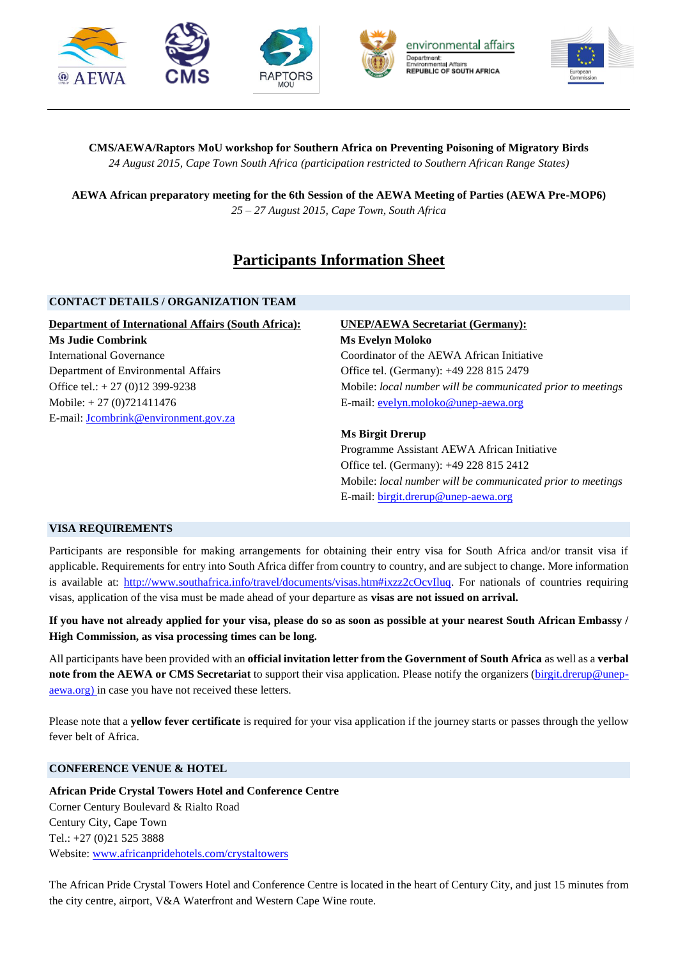

**CMS/AEWA/Raptors MoU workshop for Southern Africa on Preventing Poisoning of Migratory Birds** *24 August 2015, Cape Town South Africa (participation restricted to Southern African Range States)*

**AEWA African preparatory meeting for the 6th Session of the AEWA Meeting of Parties (AEWA Pre-MOP6)**  *25 – 27 August 2015, Cape Town, South Africa*

# **Participants Information Sheet**

## **CONTACT DETAILS / ORGANIZATION TEAM**

**Department of International Affairs (South Africa): Ms Judie Combrink** International Governance Department of Environmental Affairs Office tel.: + 27 (0)12 399-9238 Mobile: + 27 (0)721411476 E-mail[: Jcombrink@environment.gov.za](mailto:Jcombrink@environment.gov.za)

# **UNEP/AEWA Secretariat (Germany):**

**Ms Evelyn Moloko** Coordinator of the AEWA African Initiative Office tel. (Germany): +49 228 815 2479 Mobile: *local number will be communicated prior to meetings* E-mail[: evelyn.moloko@unep-aewa.org](mailto:evelyn.moloko@unep-aewa.org)

## **Ms Birgit Drerup**

Programme Assistant AEWA African Initiative Office tel. (Germany): +49 228 815 2412 Mobile: *local number will be communicated prior to meetings* E-mail[: birgit.drerup@unep-aewa.org](mailto:birgit.drerup@unep-aewa.org)

#### **VISA REQUIREMENTS**

Participants are responsible for making arrangements for obtaining their entry visa for South Africa and/or transit visa if applicable. Requirements for entry into South Africa differ from country to country, and are subject to change. More information is available at: [http://www.southafrica.info/travel/documents/visas.htm#ixzz2cOcvIluq.](http://www.southafrica.info/travel/documents/visas.htm#ixzz2cOcvIluq) For nationals of countries requiring visas, application of the visa must be made ahead of your departure as **visas are not issued on arrival.**

**If you have not already applied for your visa, please do so as soon as possible at your nearest South African Embassy / High Commission, as visa processing times can be long.** 

All participants have been provided with an **official invitation letter from the Government of South Africa** as well as a **verbal note from the AEWA or CMS Secretariat** to support their visa application. Please notify the organizers [\(birgit.drerup@unep](mailto:birgit.drerup@unep-aewa.org)[aewa.org\)](mailto:birgit.drerup@unep-aewa.org) in case you have not received these letters.

Please note that a **yellow fever certificate** is required for your visa application if the journey starts or passes through the yellow fever belt of Africa.

# **CONFERENCE VENUE & HOTEL**

**African Pride Crystal Towers Hotel and Conference Centre**  Corner Century Boulevard & Rialto Road Century City, Cape Town Tel.: +27 (0)21 525 3888 Website: [www.africanpridehotels.com/crystaltowers](http://www.africanpridehotels.com/crystaltowers)

The African Pride Crystal Towers Hotel and Conference Centre is located in the heart of Century City, and just 15 minutes from the city centre, airport, V&A Waterfront and Western Cape Wine route.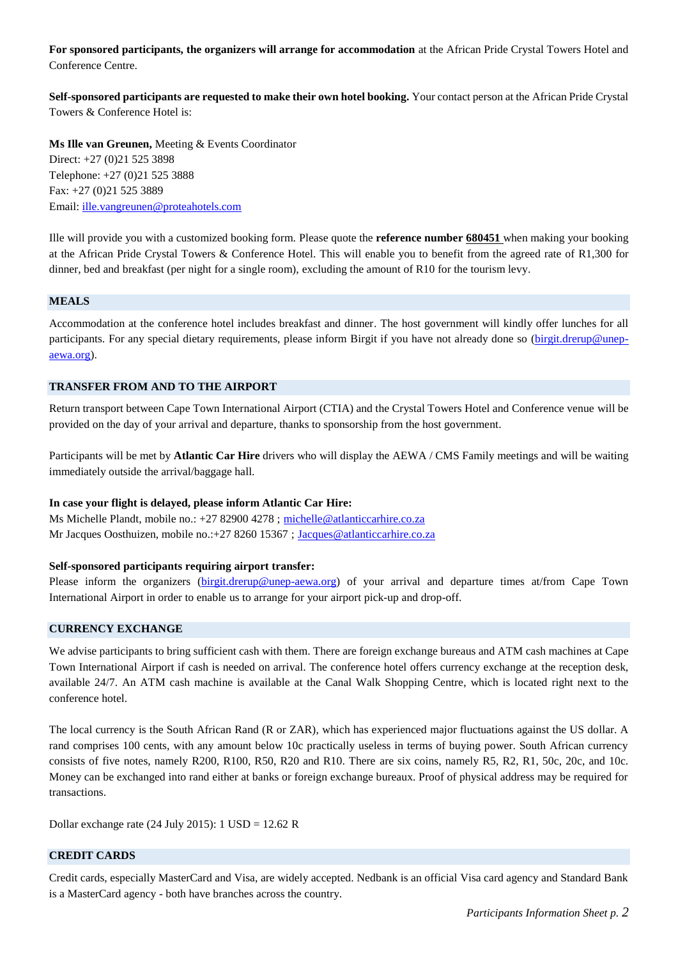**For sponsored participants, the organizers will arrange for accommodation** at the African Pride Crystal Towers Hotel and Conference Centre.

**Self-sponsored participants are requested to make their own hotel booking.** Your contact person at the African Pride Crystal Towers & Conference Hotel is:

**Ms Ille van Greunen,** Meeting & Events Coordinator Direct: +27 (0)21 525 3898 Telephone: +27 (0)21 525 3888 Fax: +27 (0)21 525 3889 Email: [ille.vangreunen@proteahotels.com](mailto:ille.vangreunen@proteahotels.com)

Ille will provide you with a customized booking form. Please quote the **reference number 680451** when making your booking at the African Pride Crystal Towers & Conference Hotel. This will enable you to benefit from the agreed rate of R1,300 for dinner, bed and breakfast (per night for a single room), excluding the amount of R10 for the tourism levy.

#### **MEALS**

Accommodation at the conference hotel includes breakfast and dinner. The host government will kindly offer lunches for all participants. For any special dietary requirements, please inform Birgit if you have not already done so [\(birgit.drerup@unep](mailto:birgit.drerup@unep-aewa.org)[aewa.org\)](mailto:birgit.drerup@unep-aewa.org).

#### **TRANSFER FROM AND TO THE AIRPORT**

Return transport between Cape Town International Airport (CTIA) and the Crystal Towers Hotel and Conference venue will be provided on the day of your arrival and departure, thanks to sponsorship from the host government.

Participants will be met by **Atlantic Car Hire** drivers who will display the AEWA / CMS Family meetings and will be waiting immediately outside the arrival/baggage hall.

#### **In case your flight is delayed, please inform Atlantic Car Hire:**

Ms Michelle Plandt, mobile no.: +27 82900 4278 ; [michelle@atlanticcarhire.co.za](mailto:michelle@atlanticcarhire.co.za) Mr Jacques Oosthuizen, mobile no.: +27 8260 15367 ; [Jacques@atlanticcarhire.co.za](mailto:Jacques@atlanticcarhire.co.za)

# **Self-sponsored participants requiring airport transfer:**

Please inform the organizers [\(birgit.drerup@unep-aewa.org\)](mailto:birgit.drerup@unep-aewa.org) of your arrival and departure times at/from Cape Town International Airport in order to enable us to arrange for your airport pick-up and drop-off.

#### **CURRENCY EXCHANGE**

We advise participants to bring sufficient cash with them. There are foreign exchange bureaus and ATM cash machines at Cape Town International Airport if cash is needed on arrival. The conference hotel offers currency exchange at the reception desk, available 24/7. An ATM cash machine is available at the Canal Walk Shopping Centre, which is located right next to the conference hotel.

The local currency is the South African Rand (R or ZAR), which has experienced major fluctuations against the US dollar. A rand comprises 100 cents, with any amount below 10c practically useless in terms of buying power. South African currency consists of five notes, namely R200, R100, R50, R20 and R10. There are six coins, namely R5, R2, R1, 50c, 20c, and 10c. Money can be exchanged into rand either at banks or foreign exchange bureaux. Proof of physical address may be required for transactions.

Dollar exchange rate (24 July 2015): 1 USD = 12.62 R

#### **CREDIT CARDS**

Credit cards, especially MasterCard and Visa, are widely accepted. Nedbank is an official Visa card agency and Standard Bank is a MasterCard agency - both have branches across the country.